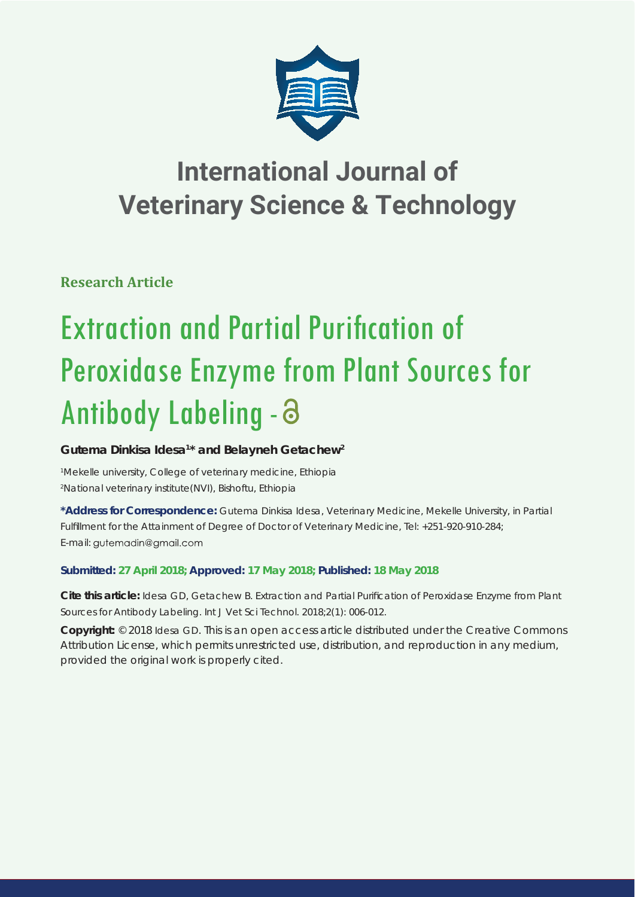

## **International Journal of Veterinary Science & Technology**

**Research Article**

# **Extraction and Partial Purification of** Peroxidase Enzyme from Plant Sources for Antibody Labeling -

## Gutema Dinkisa Idesa<sup>1\*</sup> and Belayneh Getachew<sup>2</sup>

*1 Mekelle university, College of veterinary medicine, Ethiopia 2 National veterinary institute(NVI), Bishoftu, Ethiopia*

**\*Address for Correspondence:** Gutema Dinkisa Idesa, Veterinary Medicine, Mekelle University, in Partial Fulfillment for the Attainment of Degree of Doctor of Veterinary Medicine, Tel: +251-920-910-284; E-mail: gutemadin@gmail.com

### **Submitted: 27 April 2018; Approved: 17 May 2018; Published: 18 May 2018**

**Cite this article:** Idesa GD, Getachew B. Extraction and Partial Purification of Peroxidase Enzyme from Plant Sources for Antibody Labeling. Int J Vet Sci Technol. 2018;2(1): 006-012.

**Copyright:** © 2018 Idesa GD. This is an open access article distributed under the Creative Commons Attribution License, which permits unrestricted use, distribution, and reproduction in any medium, provided the original work is properly cited.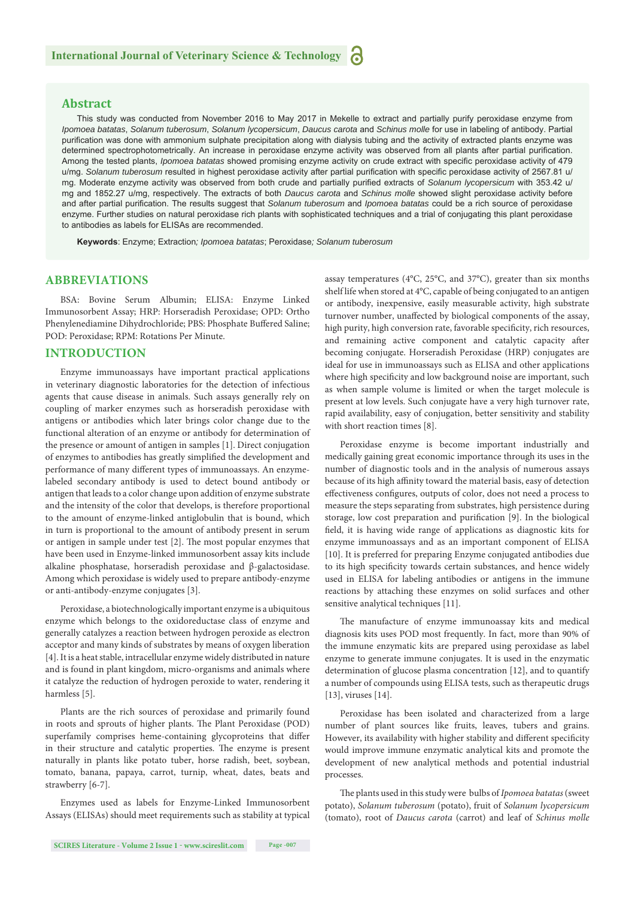#### **Abstract**

This study was conducted from November 2016 to May 2017 in Mekelle to extract and partially purify peroxidase enzyme from *Ipomoea batatas*, *Solanum tuberosum*, *Solanum lycopersicum*, *Daucus carota* and *Schinus molle* for use in labeling of antibody. Partial purification was done with ammonium sulphate precipitation along with dialysis tubing and the activity of extracted plants enzyme was determined spectrophotometrically. An increase in peroxidase enzyme activity was observed from all plants after partial purification. Among the tested plants, *Ipomoea batatas* showed promising enzyme activity on crude extract with specific peroxidase activity of 479 u/mg. Solanum tuberosum resulted in highest peroxidase activity after partial purification with specific peroxidase activity of 2567.81 u/ mg. Moderate enzyme activity was observed from both crude and partially purified extracts of *Solanum Ivcopersicum* with 353.42 u/ mg and 1852.27 u/mg, respectively. The extracts of both *Daucus carota* and *Schinus molle* showed slight peroxidase activity before and after partial purification. The results suggest that *Solanum tuberosum* and *Ipomoea batatas* could be a rich source of peroxidase enzyme. Further studies on natural peroxidase rich plants with sophisticated techniques and a trial of conjugating this plant peroxidase to antibodies as labels for ELISAs are recommended.

**Keywords**: Enzyme; Extraction*; Ipomoea batatas*; Peroxidase*; Solanum tuberosum*

#### **ABBREVIATIONS**

BSA: Bovine Serum Albumin; ELISA: Enzyme Linked Immunosorbent Assay; HRP: Horseradish Peroxidase; OPD: Ortho Phenylenediamine Dihydrochloride; PBS: Phosphate Buffered Saline; POD: Peroxidase; RPM: Rotations Per Minute.

#### **INTRODUCTION**

Enzyme immunoassays have important practical applications in veterinary diagnostic laboratories for the detection of infectious agents that cause disease in animals. Such assays generally rely on coupling of marker enzymes such as horseradish peroxidase with antigens or antibodies which later brings color change due to the functional alteration of an enzyme or antibody for determination of the presence or amount of antigen in samples [1]. Direct conjugation of enzymes to antibodies has greatly simplified the development and performance of many different types of immunoassays. An enzymelabeled secondary antibody is used to detect bound antibody or antigen that leads to a color change upon addition of enzyme substrate and the intensity of the color that develops, is therefore proportional to the amount of enzyme-linked antiglobulin that is bound, which in turn is proportional to the amount of antibody present in serum or antigen in sample under test [2]. The most popular enzymes that have been used in Enzyme-linked immunosorbent assay kits include alkaline phosphatase, horseradish peroxidase and β-galactosidase. Among which peroxidase is widely used to prepare antibody-enzyme or anti-antibody-enzyme conjugates [3].

Peroxidase, a biotechnologically important enzyme is a ubiquitous enzyme which belongs to the oxidoreductase class of enzyme and generally catalyzes a reaction between hydrogen peroxide as electron acceptor and many kinds of substrates by means of oxygen liberation [4]. It is a heat stable, intracellular enzyme widely distributed in nature and is found in plant kingdom, micro-organisms and animals where it catalyze the reduction of hydrogen peroxide to water, rendering it harmless [5].

Plants are the rich sources of peroxidase and primarily found in roots and sprouts of higher plants. The Plant Peroxidase (POD) superfamily comprises heme-containing glycoproteins that differ in their structure and catalytic properties. The enzyme is present naturally in plants like potato tuber, horse radish, beet, soybean, tomato, banana, papaya, carrot, turnip, wheat, dates, beats and strawberry [6-7].

Enzymes used as labels for Enzyme-Linked Immunosorbent Assays (ELISAs) should meet requirements such as stability at typical assay temperatures (4°C, 25°C, and 37°C), greater than six months shelf life when stored at 4°C, capable of being conjugated to an antigen or antibody, inexpensive, easily measurable activity, high substrate turnover number, unaffected by biological components of the assay, high purity, high conversion rate, favorable specificity, rich resources, and remaining active component and catalytic capacity after becoming conjugate. Horseradish Peroxidase (HRP) conjugates are ideal for use in immunoassays such as ELISA and other applications where high specificity and low background noise are important, such as when sample volume is limited or when the target molecule is present at low levels. Such conjugate have a very high turnover rate, rapid availability, easy of conjugation, better sensitivity and stability with short reaction times [8].

Peroxidase enzyme is become important industrially and medically gaining great economic importance through its uses in the number of diagnostic tools and in the analysis of numerous assays because of its high affinity toward the material basis, easy of detection effectiveness configures, outputs of color, does not need a process to measure the steps separating from substrates, high persistence during storage, low cost preparation and purification [9]. In the biological field, it is having wide range of applications as diagnostic kits for enzyme immunoassays and as an important component of ELISA [10]. It is preferred for preparing Enzyme conjugated antibodies due to its high specificity towards certain substances, and hence widely used in ELISA for labeling antibodies or antigens in the immune reactions by attaching these enzymes on solid surfaces and other sensitive analytical techniques [11].

The manufacture of enzyme immunoassay kits and medical diagnosis kits uses POD most frequently. In fact, more than 90% of the immune enzymatic kits are prepared using peroxidase as label enzyme to generate immune conjugates. It is used in the enzymatic determination of glucose plasma concentration [12], and to quantify a number of compounds using ELISA tests, such as therapeutic drugs [13], viruses [14].

Peroxidase has been isolated and characterized from a large number of plant sources like fruits, leaves, tubers and grains. However, its availability with higher stability and different specificity would improve immune enzymatic analytical kits and promote the development of new analytical methods and potential industrial processes.

The plants used in this study were bulbs of *Ipomoea batatas* (sweet potato), *Solanum tuberosum* (potato), fruit of *Solanum lycopersicum*  (tomato), root of *Daucus carota* (carrot) and leaf of *Schinus molle*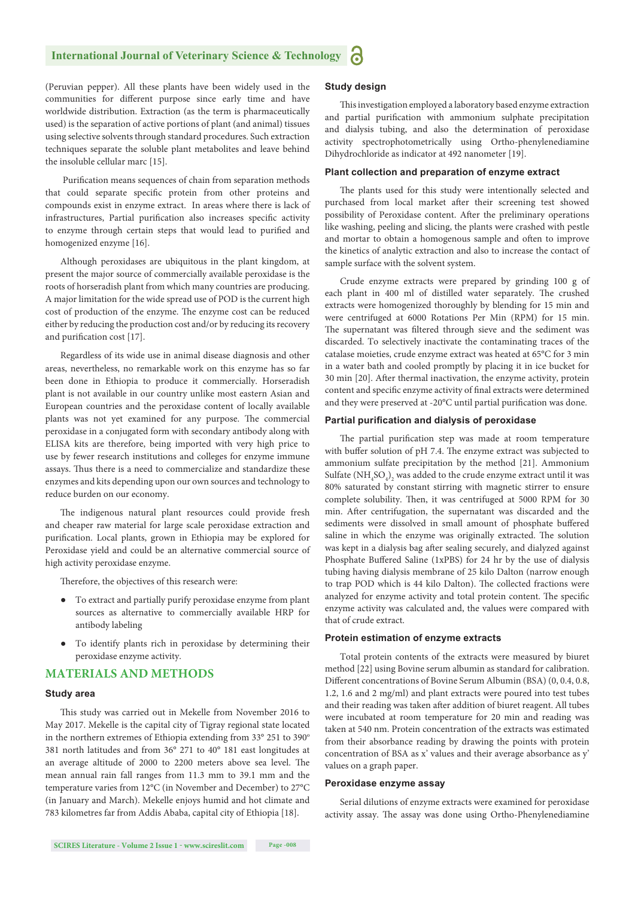(Peruvian pepper). All these plants have been widely used in the communities for different purpose since early time and have worldwide distribution. Extraction (as the term is pharmaceutically used) is the separation of active portions of plant (and animal) tissues using selective solvents through standard procedures. Such extraction techniques separate the soluble plant metabolites and leave behind the insoluble cellular marc [15].

Purification means sequences of chain from separation methods that could separate specific protein from other proteins and compounds exist in enzyme extract. In areas where there is lack of infrastructures, Partial purification also increases specific activity to enzyme through certain steps that would lead to purified and homogenized enzyme [16].

Although peroxidases are ubiquitous in the plant kingdom, at present the major source of commercially available peroxidase is the roots of horseradish plant from which many countries are producing. A major limitation for the wide spread use of POD is the current high cost of production of the enzyme. The enzyme cost can be reduced either by reducing the production cost and/or by reducing its recovery and purification cost [17].

Regardless of its wide use in animal disease diagnosis and other areas, nevertheless, no remarkable work on this enzyme has so far been done in Ethiopia to produce it commercially. Horseradish plant is not available in our country unlike most eastern Asian and European countries and the peroxidase content of locally available plants was not yet examined for any purpose. The commercial peroxidase in a conjugated form with secondary antibody along with ELISA kits are therefore, being imported with very high price to use by fewer research institutions and colleges for enzyme immune assays. Thus there is a need to commercialize and standardize these enzymes and kits depending upon our own sources and technology to reduce burden on our economy.

The indigenous natural plant resources could provide fresh and cheaper raw material for large scale peroxidase extraction and purification. Local plants, grown in Ethiopia may be explored for Peroxidase yield and could be an alternative commercial source of high activity peroxidase enzyme.

Therefore, the objectives of this research were:

- To extract and partially purify peroxidase enzyme from plant sources as alternative to commercially available HRP for antibody labeling
- To identify plants rich in peroxidase by determining their peroxidase enzyme activity.

#### **MATERIALS AND METHODS**

#### **Study area**

This study was carried out in Mekelle from November 2016 to May 2017. Mekelle is the capital city of Tigray regional state located in the northern extremes of Ethiopia extending from 33 $^{\circ}$  251 to 390 $^{\circ}$ 381 north latitudes and from 36° 271 to 40° 181 east longitudes at an average altitude of 2000 to 2200 meters above sea level. The mean annual rain fall ranges from 11.3 mm to 39.1 mm and the temperature varies from 12°C (in November and December) to 27°C (in January and March). Mekelle enjoys humid and hot climate and 783 kilometres far from Addis Ababa, capital city of Ethiopia [18].

#### **Study design**

This investigation employed a laboratory based enzyme extraction and partial purification with ammonium sulphate precipitation and dialysis tubing, and also the determination of peroxidase activity spectrophotometrically using Ortho-phenylenediamine Dihydrochloride as indicator at 492 nanometer [19].

#### **Plant collection and preparation of enzyme extract**

The plants used for this study were intentionally selected and purchased from local market after their screening test showed possibility of Peroxidase content. After the preliminary operations like washing, peeling and slicing, the plants were crashed with pestle and mortar to obtain a homogenous sample and often to improve the kinetics of analytic extraction and also to increase the contact of sample surface with the solvent system.

Crude enzyme extracts were prepared by grinding 100 g of each plant in 400 ml of distilled water separately. The crushed extracts were homogenized thoroughly by blending for 15 min and were centrifuged at 6000 Rotations Per Min (RPM) for 15 min. The supernatant was filtered through sieve and the sediment was discarded. To selectively inactivate the contaminating traces of the catalase moieties, crude enzyme extract was heated at 65°C for 3 min in a water bath and cooled promptly by placing it in ice bucket for 30 min [20]. After thermal inactivation, the enzyme activity, protein content and specific enzyme activity of final extracts were determined and they were preserved at -20°C until partial purification was done.

#### **Partial purification and dialysis of peroxidase**

The partial purification step was made at room temperature with buffer solution of pH 7.4. The enzyme extract was subjected to ammonium sulfate precipitation by the method [21]. Ammonium Sulfate  $(\text{NH}_4\text{SO}_4)_{2}$  was added to the crude enzyme extract until it was 80% saturated by constant stirring with magnetic stirrer to ensure complete solubility. Then, it was centrifuged at 5000 RPM for 30 min. After centrifugation, the supernatant was discarded and the sediments were dissolved in small amount of phosphate buffered saline in which the enzyme was originally extracted. The solution was kept in a dialysis bag after sealing securely, and dialyzed against Phosphate Buffered Saline (1xPBS) for 24 hr by the use of dialysis tubing having dialysis membrane of 25 kilo Dalton (narrow enough to trap POD which is 44 kilo Dalton). The collected fractions were analyzed for enzyme activity and total protein content. The specific enzyme activity was calculated and, the values were compared with that of crude extract.

#### **Protein estimation of enzyme extracts**

Total protein contents of the extracts were measured by biuret method [22] using Bovine serum albumin as standard for calibration. Different concentrations of Bovine Serum Albumin (BSA) (0, 0.4, 0.8, 1.2, 1.6 and 2 mg/ml) and plant extracts were poured into test tubes and their reading was taken after addition of biuret reagent. All tubes were incubated at room temperature for 20 min and reading was taken at 540 nm. Protein concentration of the extracts was estimated from their absorbance reading by drawing the points with protein concentration of BSA as x' values and their average absorbance as y' values on a graph paper.

#### **Peroxidase enzyme assay**

Serial dilutions of enzyme extracts were examined for peroxidase activity assay. The assay was done using Ortho-Phenylenediamine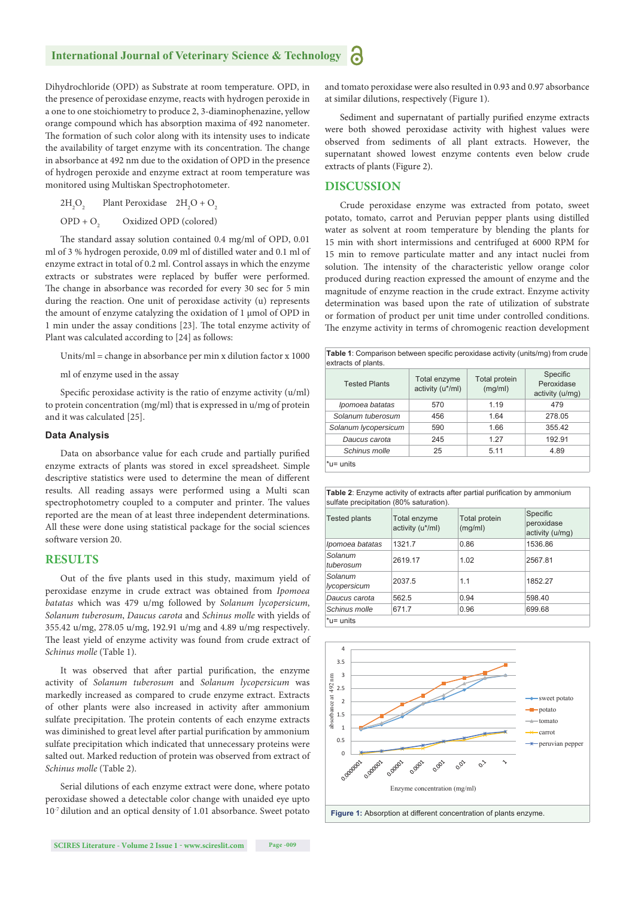Dihydrochloride (OPD) as Substrate at room temperature. OPD, in the presence of peroxidase enzyme, reacts with hydrogen peroxide in a one to one stoichiometry to produce 2, 3-diaminophenazine, yellow orange compound which has absorption maxima of 492 nanometer. The formation of such color along with its intensity uses to indicate the availability of target enzyme with its concentration. The change in absorbance at 492 nm due to the oxidation of OPD in the presence of hydrogen peroxide and enzyme extract at room temperature was monitored using Multiskan Spectrophotometer.

 $2H<sub>2</sub>O<sub>2</sub>$  $O_2$  Plant Peroxidase  $2H_2O + O_2$ 

 $OPD + O_2$  Oxidized OPD (colored)

The standard assay solution contained 0.4 mg/ml of OPD, 0.01 ml of 3 % hydrogen peroxide, 0.09 ml of distilled water and 0.1 ml of enzyme extract in total of 0.2 ml. Control assays in which the enzyme extracts or substrates were replaced by buffer were performed. The change in absorbance was recorded for every 30 sec for 5 min during the reaction. One unit of peroxidase activity (u) represents the amount of enzyme catalyzing the oxidation of 1 μmol of OPD in 1 min under the assay conditions [23]. The total enzyme activity of Plant was calculated according to [24] as follows:

Units/ml = change in absorbance per min x dilution factor x 1000

ml of enzyme used in the assay

Specific peroxidase activity is the ratio of enzyme activity  $(u/ml)$ to protein concentration (mg/ml) that is expressed in u/mg of protein and it was calculated [25].

#### **Data Analysis**

Data on absorbance value for each crude and partially purified enzyme extracts of plants was stored in excel spreadsheet. Simple descriptive statistics were used to determine the mean of different results. All reading assays were performed using a Multi scan spectrophotometry coupled to a computer and printer. The values reported are the mean of at least three independent determinations. All these were done using statistical package for the social sciences software version 20.

#### **RESULTS**

Out of the five plants used in this study, maximum yield of peroxidase enzyme in crude extract was obtained from *Ipomoea batatas* which was 479 u/mg followed by *Solanum lycopersicum*, *Solanum tuberosum*, *Daucus carota* and *Schinus molle* with yields of 355.42 u/mg, 278.05 u/mg, 192.91 u/mg and 4.89 u/mg respectively. The least yield of enzyme activity was found from crude extract of *Schinus molle* (Table 1).

It was observed that after partial purification, the enzyme activity of *Solanum tuberosum* and *Solanum lycopersicum* was markedly increased as compared to crude enzyme extract. Extracts of other plants were also increased in activity after ammonium sulfate precipitation. The protein contents of each enzyme extracts was diminished to great level after partial purification by ammonium sulfate precipitation which indicated that unnecessary proteins were salted out. Marked reduction of protein was observed from extract of *Schinus molle* (Table 2).

Serial dilutions of each enzyme extract were done, where potato peroxidase showed a detectable color change with unaided eye upto 10-7 dilution and an optical density of 1.01 absorbance. Sweet potato and tomato peroxidase were also resulted in 0.93 and 0.97 absorbance at similar dilutions, respectively (Figure 1).

Sediment and supernatant of partially purified enzyme extracts were both showed peroxidase activity with highest values were observed from sediments of all plant extracts. However, the supernatant showed lowest enzyme contents even below crude extracts of plants (Figure 2).

#### **DISCUSSION**

Crude peroxidase enzyme was extracted from potato, sweet potato, tomato, carrot and Peruvian pepper plants using distilled water as solvent at room temperature by blending the plants for 15 min with short intermissions and centrifuged at 6000 RPM for 15 min to remove particulate matter and any intact nuclei from solution. The intensity of the characteristic yellow orange color produced during reaction expressed the amount of enzyme and the magnitude of enzyme reaction in the crude extract. Enzyme activity determination was based upon the rate of utilization of substrate or formation of product per unit time under controlled conditions. The enzyme activity in terms of chromogenic reaction development

| Table 1: Comparison between specific peroxidase activity (units/mg) from crude<br>extracts of plants. |                                  |                                 |                                           |
|-------------------------------------------------------------------------------------------------------|----------------------------------|---------------------------------|-------------------------------------------|
| <b>Tested Plants</b>                                                                                  | Total enzyme<br>activity (u*/ml) | <b>Total protein</b><br>(mg/ml) | Specific<br>Peroxidase<br>activity (u/mg) |
| Ipomoea batatas                                                                                       | 570                              | 1.19                            | 479                                       |
| Solanum tuberosum                                                                                     | 456                              | 1.64                            | 278.05                                    |
| Solanum lycopersicum                                                                                  | 590                              | 1.66                            | 355.42                                    |
| Daucus carota                                                                                         | 245                              | 1.27                            | 192.91                                    |
| Schinus molle                                                                                         | 25                               | 5.11                            | 4.89                                      |
| $*u =$ units                                                                                          |                                  |                                 |                                           |

|                                         | <b>Table 2:</b> Enzyme activity of extracts after partial purification by ammonium |  |  |  |
|-----------------------------------------|------------------------------------------------------------------------------------|--|--|--|
| sulfate precipitation (80% saturation). |                                                                                    |  |  |  |

| <b>Tested plants</b>    | Total enzyme<br>activity (u*/ml) | <b>Total protein</b><br>(mg/ml) | Specific<br>peroxidase<br>activity (u/mq) |
|-------------------------|----------------------------------|---------------------------------|-------------------------------------------|
| Ipomoea batatas         | 1321.7                           | 0.86                            | 1536.86                                   |
| Solanum<br>tuberosum    | 2619.17                          | 1.02                            | 2567.81                                   |
| Solanum<br>lycopersicum | 2037.5                           | 1.1                             | 1852.27                                   |
| Daucus carota           | 562.5                            | 0.94                            | 598.40                                    |
| Schinus molle           | 671.7                            | 0.96                            | 699.68                                    |
| $*u=$ units             |                                  |                                 |                                           |



**Figure 1:** Absorption at different concentration of plants enzyme.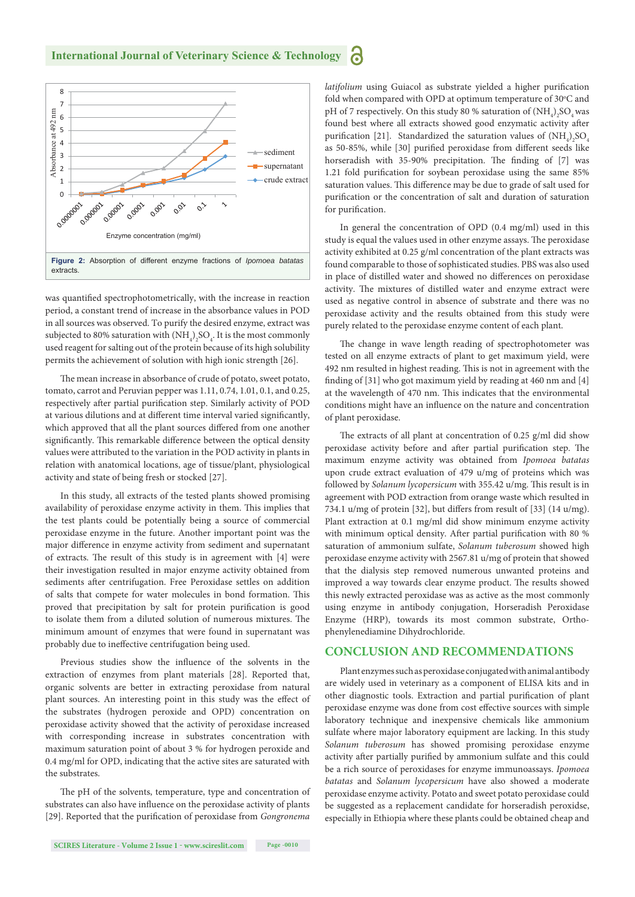

was quantified spectrophotometrically, with the increase in reaction period, a constant trend of increase in the absorbance values in POD in all sources was observed. To purify the desired enzyme, extract was subjected to 80% saturation with  $(\mathrm{NH}_4)_2\mathrm{SO}_4$ . It is the most commonly used reagent for salting out of the protein because of its high solubility permits the achievement of solution with high ionic strength [26].

The mean increase in absorbance of crude of potato, sweet potato, tomato, carrot and Peruvian pepper was 1.11, 0.74, 1.01, 0.1, and 0.25, respectively after partial purification step. Similarly activity of POD at various dilutions and at different time interval varied significantly, which approved that all the plant sources differed from one another significantly. This remarkable difference between the optical density values were attributed to the variation in the POD activity in plants in relation with anatomical locations, age of tissue/plant, physiological activity and state of being fresh or stocked [27].

In this study, all extracts of the tested plants showed promising availability of peroxidase enzyme activity in them. This implies that the test plants could be potentially being a source of commercial peroxidase enzyme in the future. Another important point was the major difference in enzyme activity from sediment and supernatant of extracts. The result of this study is in agreement with [4] were their investigation resulted in major enzyme activity obtained from sediments after centrifugation. Free Peroxidase settles on addition of salts that compete for water molecules in bond formation. This proved that precipitation by salt for protein purification is good to isolate them from a diluted solution of numerous mixtures. The minimum amount of enzymes that were found in supernatant was probably due to ineffective centrifugation being used.

Previous studies show the influence of the solvents in the extraction of enzymes from plant materials [28]. Reported that, organic solvents are better in extracting peroxidase from natural plant sources. An interesting point in this study was the effect of the substrates (hydrogen peroxide and OPD) concentration on peroxidase activity showed that the activity of peroxidase increased with corresponding increase in substrates concentration with maximum saturation point of about 3 % for hydrogen peroxide and 0.4 mg/ml for OPD, indicating that the active sites are saturated with the substrates.

The pH of the solvents, temperature, type and concentration of substrates can also have influence on the peroxidase activity of plants [29]. Reported that the purification of peroxidase from *Gongronema* 

followed by *Solanum lycopersicum* with 355.42 u/mg. This result is in agreement with POD extraction from orange waste which resulted in 734.1 u/mg of protein [32], but differs from result of [33]  $(14 \text{ u/mg})$ . Plant extraction at 0.1 mg/ml did show minimum enzyme activity with minimum optical density. After partial purification with 80 %

of plant peroxidase.

saturation of ammonium sulfate, *Solanum tuberosum* showed high peroxidase enzyme activity with 2567.81 u/mg of protein that showed that the dialysis step removed numerous unwanted proteins and improved a way towards clear enzyme product. The results showed this newly extracted peroxidase was as active as the most commonly using enzyme in antibody conjugation, Horseradish Peroxidase Enzyme (HRP), towards its most common substrate, Orthophenylenediamine Dihydrochloride.

In general the concentration of OPD (0.4 mg/ml) used in this

activity. The mixtures of distilled water and enzyme extract were used as negative control in absence of substrate and there was no peroxidase activity and the results obtained from this study were purely related to the peroxidase enzyme content of each plant.

The change in wave length reading of spectrophotometer was tested on all enzyme extracts of plant to get maximum yield, were 492 nm resulted in highest reading. This is not in agreement with the finding of  $[31]$  who got maximum yield by reading at 460 nm and  $[4]$ at the wavelength of 470 nm. This indicates that the environmental conditions might have an influence on the nature and concentration

The extracts of all plant at concentration of 0.25 g/ml did show peroxidase activity before and after partial purification step. The maximum enzyme activity was obtained from *Ipomoea batatas* upon crude extract evaluation of 479 u/mg of proteins which was

#### **CONCLUSION AND RECOMMENDATIONS**

Plant enzymes such as peroxidase conjugated with animal antibody are widely used in veterinary as a component of ELISA kits and in other diagnostic tools. Extraction and partial purification of plant peroxidase enzyme was done from cost effective sources with simple laboratory technique and inexpensive chemicals like ammonium sulfate where major laboratory equipment are lacking. In this study *Solanum tuberosum* has showed promising peroxidase enzyme activity after partially purified by ammonium sulfate and this could be a rich source of peroxidases for enzyme immunoassays. *Ipomoea batatas* and *Solanum lycopersicum* have also showed a moderate peroxidase enzyme activity. Potato and sweet potato peroxidase could be suggested as a replacement candidate for horseradish peroxidse, especially in Ethiopia where these plants could be obtained cheap and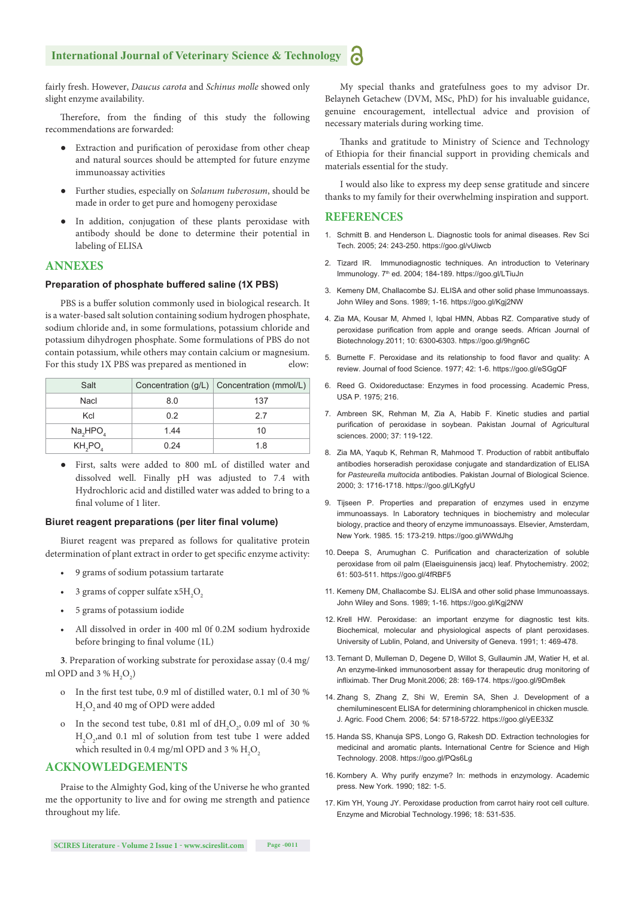#### **International Journal of Veterinary Science & Technology**

fairly fresh. However, *Daucus carota* and *Schinus molle* showed only slight enzyme availability.

Therefore, from the finding of this study the following recommendations are forwarded:

- Extraction and purification of peroxidase from other cheap and natural sources should be attempted for future enzyme immunoassay activities
- Further studies, especially on *Solanum tuberosum*, should be made in order to get pure and homogeny peroxidase
- In addition, conjugation of these plants peroxidase with antibody should be done to determine their potential in labeling of ELISA

#### **ANNEXES**

#### **Preparation of phosphate buffered saline (1X PBS)**

PBS is a buffer solution commonly used in biological research. It is a water-based salt solution containing sodium hydrogen phosphate, sodium chloride and, in some formulations, potassium chloride and potassium dihydrogen phosphate. Some formulations of PBS do not contain potassium, while others may contain calcium or magnesium. For this study 1X PBS was prepared as mentioned in elow:

| Salt                             |      | Concentration $(g/L)$ Concentration (mmol/L) |  |
|----------------------------------|------|----------------------------------------------|--|
| Nacl                             | 8.0  | 137                                          |  |
| Kcl                              | 0.2  | 27                                           |  |
| Na <sub>2</sub> HPO <sub>4</sub> | 144  | 10                                           |  |
| KH <sub>2</sub> PO <sub>4</sub>  | 0.24 | 1.8                                          |  |

● First, salts were added to 800 mL of distilled water and dissolved well. Finally pH was adjusted to 7.4 with Hydrochloric acid and distilled water was added to bring to a final volume of 1 liter.

#### **Biuret reagent preparations (per liter final volume)**

Biuret reagent was prepared as follows for qualitative protein determination of plant extract in order to get specific enzyme activity:

- 9 grams of sodium potassium tartarate
- 3 grams of copper sulfate  $x5H_2O_2$
- 5 grams of potassium iodide
- All dissolved in order in 400 ml 0f 0.2M sodium hydroxide before bringing to final volume (1L)

**3**. Preparation of working substrate for peroxidase assay (0.4 mg/ ml OPD and 3 %  $H_2O_2$ )

- o In the first test tube, 0.9 ml of distilled water, 0.1 ml of 30 %  $\mathrm{H}_{2}\mathrm{O}_{2}$  and 40 mg of OPD were added
- o In the second test tube, 0.81 ml of  $dH_2O_2$ , 0.09 ml of 30 %  $H_2O_2$ , and 0.1 ml of solution from test tube 1 were added which resulted in 0.4 mg/ml OPD and 3 %  ${\rm H_2O}_2$

#### **ACKNOWLEDGEMENTS**

Praise to the Almighty God, king of the Universe he who granted me the opportunity to live and for owing me strength and patience throughout my life.

My special thanks and gratefulness goes to my advisor Dr. Belayneh Getachew (DVM, MSc, PhD) for his invaluable guidance, genuine encouragement, intellectual advice and provision of necessary materials during working time.

Thanks and gratitude to Ministry of Science and Technology of Ethiopia for their financial support in providing chemicals and materials essential for the study.

I would also like to express my deep sense gratitude and sincere thanks to my family for their overwhelming inspiration and support.

#### **REFERENCES**

- 1. Schmitt B. and Henderson L. Diagnostic tools for animal diseases. Rev Sci Tech. 2005; 24: 243-250. https://goo.gl/vUiwcb
- 2. Tizard IR. Immunodiagnostic techniques. An introduction to Veterinary Immunology. 7th ed. 2004; 184-189. https://goo.gl/LTiuJn
- 3. Kemeny DM, Challacombe SJ. ELISA and other solid phase Immunoassays. John Wiley and Sons. 1989; 1-16. https://goo.gl/Kgj2NW
- 4. Zia MA, Kousar M, Ahmed I, Iqbal HMN, Abbas RZ. Comparative study of peroxidase purification from apple and orange seeds. African Journal of Biotechnology.2011; 10: 6300**-**6303. https://goo.gl/9hgn6C
- 5. Burnette F. Peroxidase and its relationship to food flavor and quality: A review. Journal of food Science. 1977; 42: 1-6. https://goo.gl/eSGgQF
- 6. Reed G. Oxidoreductase: Enzymes in food processing. Academic Press, USA P. 1975; 216.
- 7. Ambreen SK, Rehman M, Zia A, Habib F. Kinetic studies and partial purification of peroxidase in soybean. Pakistan Journal of Agricultural sciences. 2000; 37: 119-122.
- 8. Zia MA, Yaqub K, Rehman R, Mahmood T. Production of rabbit antibuffalo antibodies horseradish peroxidase conjugate and standardization of ELISA for *Pasteurella multocida* antibodies. Pakistan Journal of Biological Science. 2000; 3: 1716-1718. https://goo.gl/LKgfyU
- 9. Tijseen P. Properties and preparation of enzymes used in enzyme immunoassays. In Laboratory techniques in biochemistry and molecular biology, practice and theory of enzyme immunoassays. Elsevier, Amsterdam, New York. 1985. 15: 173-219. https://goo.gl/WWdJhg
- 10. Deepa S, Arumughan C. Purification and characterization of soluble peroxidase from oil palm (Elaeisguinensis jacq) leaf. Phytochemistry. 2002; 61: 503-511. https://goo.gl/4fRBF5
- 11. Kemeny DM, Challacombe SJ. ELISA and other solid phase Immunoassays. John Wiley and Sons. 1989; 1-16. https://goo.gl/Kgj2NW
- 12. Krell HW. Peroxidase: an important enzyme for diagnostic test kits. Biochemical, molecular and physiological aspects of plant peroxidases. University of Lublin, Poland, and University of Geneva. 1991; 1: 469-478.
- 13. Ternant D, Mulleman D, Degene D, Willot S, Gullaumin JM, Watier H, et al. An enzyme-linked immunosorbent assay for therapeutic drug monitoring of infliximab. Ther Drug Monit.2006; 28: 169-174. https://goo.gl/9Dm8ek
- 14. Zhang S, Zhang Z, Shi W, Eremin SA, Shen J. Development of a chemiluminescent ELISA for determining chloramphenicol in chicken muscle*.*  J. Agric. Food Chem*.* 2006; 54: 5718-5722. https://goo.gl/yEE33Z
- 15. Handa SS, Khanuja SPS, Longo G, Rakesh DD. Extraction technologies for medicinal and aromatic plants**.** International Centre for Science and High Technology. 2008. https://goo.gl/PQs6Lg
- 16. Kornbery A. Why purify enzyme? In: methods in enzymology. Academic press. New York. 1990; 182: 1-5.
- 17. Kim YH, Young JY. Peroxidase production from carrot hairy root cell culture. Enzyme and Microbial Technology.1996; 18: 531-535.